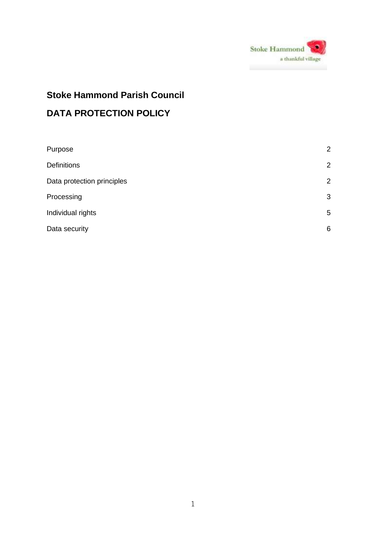

# **Stoke Hammond Parish Council DATA PROTECTION POLICY**

| Purpose                    | 2 |
|----------------------------|---|
| <b>Definitions</b>         | 2 |
| Data protection principles | 2 |
| Processing                 | 3 |
| Individual rights          | 5 |
| Data security              | 6 |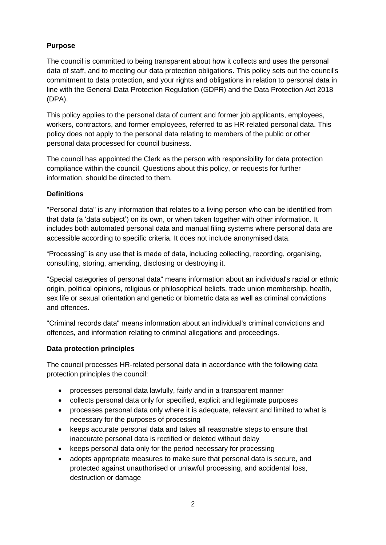# **Purpose**

The council is committed to being transparent about how it collects and uses the personal data of staff, and to meeting our data protection obligations. This policy sets out the council's commitment to data protection, and your rights and obligations in relation to personal data in line with the General Data Protection Regulation (GDPR) and the Data Protection Act 2018 (DPA).

This policy applies to the personal data of current and former job applicants, employees, workers, contractors, and former employees, referred to as HR-related personal data. This policy does not apply to the personal data relating to members of the public or other personal data processed for council business.

The council has appointed the Clerk as the person with responsibility for data protection compliance within the council. Questions about this policy, or requests for further information, should be directed to them.

#### **Definitions**

"Personal data" is any information that relates to a living person who can be identified from that data (a 'data subject') on its own, or when taken together with other information. It includes both automated personal data and manual filing systems where personal data are accessible according to specific criteria. It does not include anonymised data.

"Processing" is any use that is made of data, including collecting, recording, organising, consulting, storing, amending, disclosing or destroying it.

"Special categories of personal data" means information about an individual's racial or ethnic origin, political opinions, religious or philosophical beliefs, trade union membership, health, sex life or sexual orientation and genetic or biometric data as well as criminal convictions and offences.

"Criminal records data" means information about an individual's criminal convictions and offences, and information relating to criminal allegations and proceedings.

#### **Data protection principles**

The council processes HR-related personal data in accordance with the following data protection principles the council:

- processes personal data lawfully, fairly and in a transparent manner
- collects personal data only for specified, explicit and legitimate purposes
- processes personal data only where it is adequate, relevant and limited to what is necessary for the purposes of processing
- keeps accurate personal data and takes all reasonable steps to ensure that inaccurate personal data is rectified or deleted without delay
- keeps personal data only for the period necessary for processing
- adopts appropriate measures to make sure that personal data is secure, and protected against unauthorised or unlawful processing, and accidental loss, destruction or damage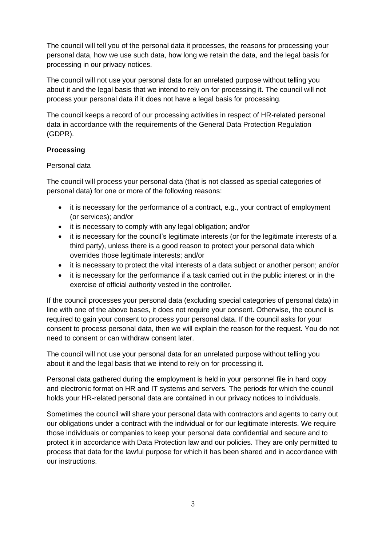The council will tell you of the personal data it processes, the reasons for processing your personal data, how we use such data, how long we retain the data, and the legal basis for processing in our privacy notices.

The council will not use your personal data for an unrelated purpose without telling you about it and the legal basis that we intend to rely on for processing it. The council will not process your personal data if it does not have a legal basis for processing.

The council keeps a record of our processing activities in respect of HR-related personal data in accordance with the requirements of the General Data Protection Regulation (GDPR).

# **Processing**

#### Personal data

The council will process your personal data (that is not classed as special categories of personal data) for one or more of the following reasons:

- it is necessary for the performance of a contract, e.g., your contract of employment (or services); and/or
- it is necessary to comply with any legal obligation; and/or
- it is necessary for the council's legitimate interests (or for the legitimate interests of a third party), unless there is a good reason to protect your personal data which overrides those legitimate interests; and/or
- it is necessary to protect the vital interests of a data subject or another person; and/or
- it is necessary for the performance if a task carried out in the public interest or in the exercise of official authority vested in the controller.

If the council processes your personal data (excluding special categories of personal data) in line with one of the above bases, it does not require your consent. Otherwise, the council is required to gain your consent to process your personal data. If the council asks for your consent to process personal data, then we will explain the reason for the request. You do not need to consent or can withdraw consent later.

The council will not use your personal data for an unrelated purpose without telling you about it and the legal basis that we intend to rely on for processing it.

Personal data gathered during the employment is held in your personnel file in hard copy and electronic format on HR and IT systems and servers. The periods for which the council holds your HR-related personal data are contained in our privacy notices to individuals.

Sometimes the council will share your personal data with contractors and agents to carry out our obligations under a contract with the individual or for our legitimate interests. We require those individuals or companies to keep your personal data confidential and secure and to protect it in accordance with Data Protection law and our policies. They are only permitted to process that data for the lawful purpose for which it has been shared and in accordance with our instructions.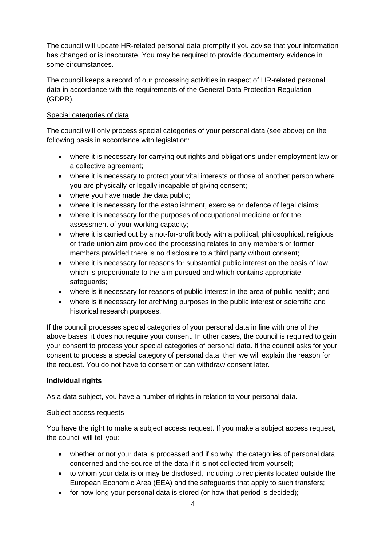The council will update HR-related personal data promptly if you advise that your information has changed or is inaccurate. You may be required to provide documentary evidence in some circumstances.

The council keeps a record of our processing activities in respect of HR-related personal data in accordance with the requirements of the General Data Protection Regulation (GDPR).

## Special categories of data

The council will only process special categories of your personal data (see above) on the following basis in accordance with legislation:

- where it is necessary for carrying out rights and obligations under employment law or a collective agreement;
- where it is necessary to protect your vital interests or those of another person where you are physically or legally incapable of giving consent;
- where you have made the data public:
- where it is necessary for the establishment, exercise or defence of legal claims;
- where it is necessary for the purposes of occupational medicine or for the assessment of your working capacity;
- where it is carried out by a not-for-profit body with a political, philosophical, religious or trade union aim provided the processing relates to only members or former members provided there is no disclosure to a third party without consent;
- where it is necessary for reasons for substantial public interest on the basis of law which is proportionate to the aim pursued and which contains appropriate safeguards;
- where is it necessary for reasons of public interest in the area of public health; and
- where is it necessary for archiving purposes in the public interest or scientific and historical research purposes.

If the council processes special categories of your personal data in line with one of the above bases, it does not require your consent. In other cases, the council is required to gain your consent to process your special categories of personal data. If the council asks for your consent to process a special category of personal data, then we will explain the reason for the request. You do not have to consent or can withdraw consent later.

#### **Individual rights**

As a data subject, you have a number of rights in relation to your personal data.

#### Subject access requests

You have the right to make a subject access request. If you make a subject access request, the council will tell you:

- whether or not your data is processed and if so why, the categories of personal data concerned and the source of the data if it is not collected from yourself;
- to whom your data is or may be disclosed, including to recipients located outside the European Economic Area (EEA) and the safeguards that apply to such transfers;
- for how long your personal data is stored (or how that period is decided):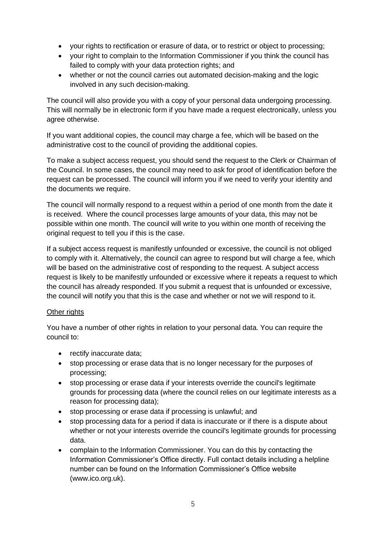- your rights to rectification or erasure of data, or to restrict or object to processing;
- your right to complain to the Information Commissioner if you think the council has failed to comply with your data protection rights; and
- whether or not the council carries out automated decision-making and the logic involved in any such decision-making.

The council will also provide you with a copy of your personal data undergoing processing. This will normally be in electronic form if you have made a request electronically, unless you agree otherwise.

If you want additional copies, the council may charge a fee, which will be based on the administrative cost to the council of providing the additional copies.

To make a subject access request, you should send the request to the Clerk or Chairman of the Council. In some cases, the council may need to ask for proof of identification before the request can be processed. The council will inform you if we need to verify your identity and the documents we require.

The council will normally respond to a request within a period of one month from the date it is received. Where the council processes large amounts of your data, this may not be possible within one month. The council will write to you within one month of receiving the original request to tell you if this is the case.

If a subject access request is manifestly unfounded or excessive, the council is not obliged to comply with it. Alternatively, the council can agree to respond but will charge a fee, which will be based on the administrative cost of responding to the request. A subject access request is likely to be manifestly unfounded or excessive where it repeats a request to which the council has already responded. If you submit a request that is unfounded or excessive, the council will notify you that this is the case and whether or not we will respond to it.

#### Other rights

You have a number of other rights in relation to your personal data. You can require the council to:

- rectify inaccurate data;
- stop processing or erase data that is no longer necessary for the purposes of processing;
- stop processing or erase data if your interests override the council's legitimate grounds for processing data (where the council relies on our legitimate interests as a reason for processing data);
- stop processing or erase data if processing is unlawful; and
- stop processing data for a period if data is inaccurate or if there is a dispute about whether or not your interests override the council's legitimate grounds for processing data.
- complain to the Information Commissioner. You can do this by contacting the Information Commissioner's Office directly. Full contact details including a helpline number can be found on the Information Commissioner's Office website (www.ico.org.uk).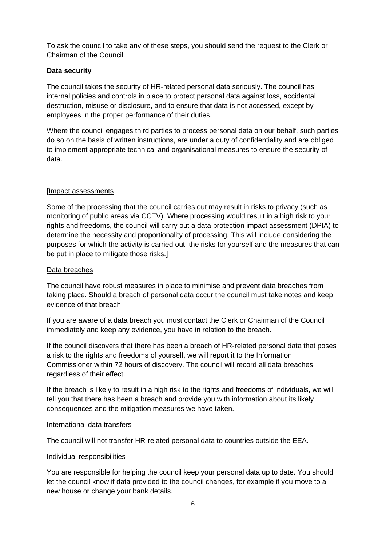To ask the council to take any of these steps, you should send the request to the Clerk or Chairman of the Council.

## **Data security**

The council takes the security of HR-related personal data seriously. The council has internal policies and controls in place to protect personal data against loss, accidental destruction, misuse or disclosure, and to ensure that data is not accessed, except by employees in the proper performance of their duties.

Where the council engages third parties to process personal data on our behalf, such parties do so on the basis of written instructions, are under a duty of confidentiality and are obliged to implement appropriate technical and organisational measures to ensure the security of data.

# [Impact assessments

Some of the processing that the council carries out may result in risks to privacy (such as monitoring of public areas via CCTV). Where processing would result in a high risk to your rights and freedoms, the council will carry out a data protection impact assessment (DPIA) to determine the necessity and proportionality of processing. This will include considering the purposes for which the activity is carried out, the risks for yourself and the measures that can be put in place to mitigate those risks.]

## Data breaches

The council have robust measures in place to minimise and prevent data breaches from taking place. Should a breach of personal data occur the council must take notes and keep evidence of that breach.

If you are aware of a data breach you must contact the Clerk or Chairman of the Council immediately and keep any evidence, you have in relation to the breach.

If the council discovers that there has been a breach of HR-related personal data that poses a risk to the rights and freedoms of yourself, we will report it to the Information Commissioner within 72 hours of discovery. The council will record all data breaches regardless of their effect.

If the breach is likely to result in a high risk to the rights and freedoms of individuals, we will tell you that there has been a breach and provide you with information about its likely consequences and the mitigation measures we have taken.

#### International data transfers

The council will not transfer HR-related personal data to countries outside the EEA.

#### Individual responsibilities

You are responsible for helping the council keep your personal data up to date. You should let the council know if data provided to the council changes, for example if you move to a new house or change your bank details.